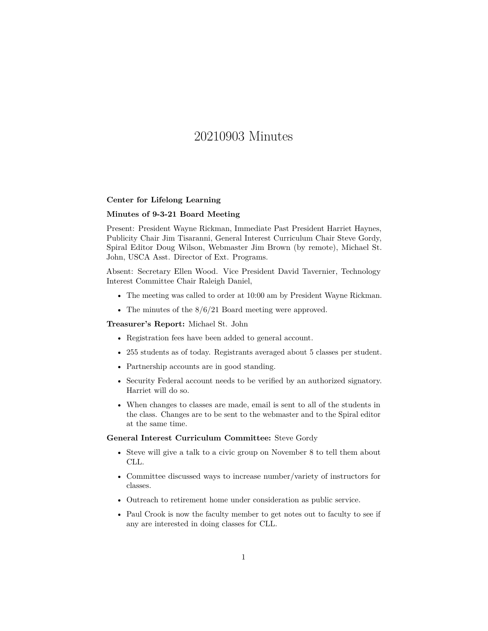# 20210903 Minutes

#### **Center for Lifelong Learning**

## **Minutes of 9-3-21 Board Meeting**

Present: President Wayne Rickman, Immediate Past President Harriet Haynes, Publicity Chair Jim Tisaranni, General Interest Curriculum Chair Steve Gordy, Spiral Editor Doug Wilson, Webmaster Jim Brown (by remote), Michael St. John, USCA Asst. Director of Ext. Programs.

Absent: Secretary Ellen Wood. Vice President David Tavernier, Technology Interest Committee Chair Raleigh Daniel,

- The meeting was called to order at 10:00 am by President Wayne Rickman.
- The minutes of the  $8/6/21$  Board meeting were approved.

#### **Treasurer's Report:** Michael St. John

- Registration fees have been added to general account.
- 255 students as of today. Registrants averaged about 5 classes per student.
- Partnership accounts are in good standing.
- Security Federal account needs to be verified by an authorized signatory. Harriet will do so.
- When changes to classes are made, email is sent to all of the students in the class. Changes are to be sent to the webmaster and to the Spiral editor at the same time.

# **General Interest Curriculum Committee:** Steve Gordy

- Steve will give a talk to a civic group on November 8 to tell them about CLL.
- Committee discussed ways to increase number/variety of instructors for classes.
- Outreach to retirement home under consideration as public service.
- Paul Crook is now the faculty member to get notes out to faculty to see if any are interested in doing classes for CLL.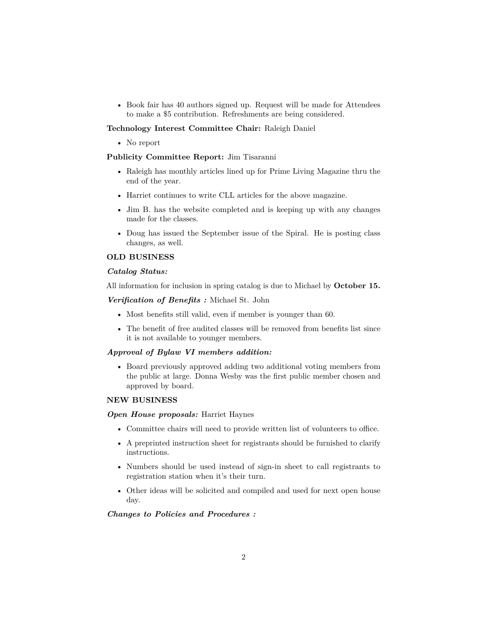• Book fair has 40 authors signed up. Request will be made for Attendees to make a \$5 contribution. Refreshments are being considered.

#### **Technology Interest Committee Chair:** Raleigh Daniel

• No report

## **Publicity Committee Report:** Jim Tisaranni

- Raleigh has monthly articles lined up for Prime Living Magazine thru the end of the year.
- Harriet continues to write CLL articles for the above magazine.
- Jim B. has the website completed and is keeping up with any changes made for the classes.
- Doug has issued the September issue of the Spiral. He is posting class changes, as well.

## **OLD BUSINESS**

#### *Catalog Status:*

All information for inclusion in spring catalog is due to Michael by **October 15.**

*Verification of Benefits :* Michael St. John

- Most benefits still valid, even if member is younger than 60.
- The benefit of free audited classes will be removed from benefits list since it is not available to younger members.

#### *Approval of Bylaw VI members addition:*

• Board previously approved adding two additional voting members from the public at large. Donna Wesby was the first public member chosen and approved by board.

## **NEW BUSINESS**

## *Open House proposals:* Harriet Haynes

- Committee chairs will need to provide written list of volunteers to office.
- A preprinted instruction sheet for registrants should be furnished to clarify instructions.
- Numbers should be used instead of sign-in sheet to call registrants to registration station when it's their turn.
- Other ideas will be solicited and compiled and used for next open house day.

#### *Changes to Policies and Procedures :*